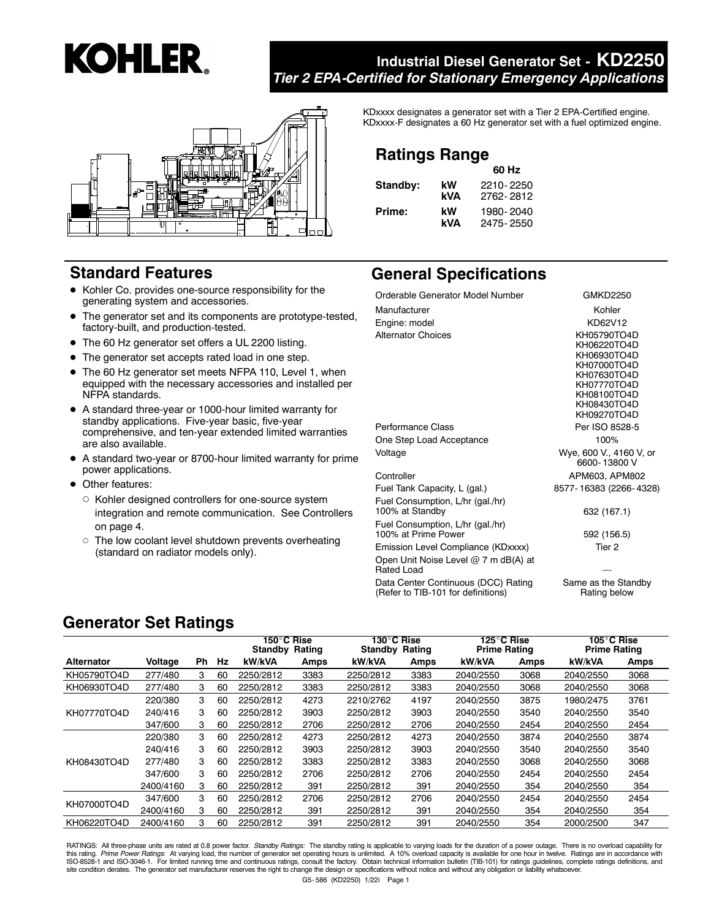# **KOHLER.**

# **Industrial Diesel Generator Set - KD2250** *Tier 2 EPA-Certified for Stationary Emergency Applications*



# **Standard Features**

- Kohler Co. provides one-source responsibility for the generating system and accessories.
- The generator set and its components are prototype-tested, factory-built, and production-tested.
- The 60 Hz generator set offers a UL 2200 listing.
- The generator set accepts rated load in one step.
- The 60 Hz generator set meets NFPA 110, Level 1, when equipped with the necessary accessories and installed per NFPA standards.
- A standard three-year or 1000-hour limited warranty for standby applications. Five-year basic, five-year comprehensive, and ten-year extended limited warranties are also available.
- A standard two-year or 8700-hour limited warranty for prime power applications.
- Other features:
	- Kohler designed controllers for one-source system integration and remote communication. See Controllers on page 4.
	- o The low coolant level shutdown prevents overheating (standard on radiator models only).

KDxxxx designates a generator set with a Tier 2 EPA-Certified engine. KDxxxx-F designates a 60 Hz generator set with a fuel optimized engine.

# **Ratings Range**

|          |     | 60 Hz     |
|----------|-----|-----------|
| Standby: | kW  | 2210-2250 |
|          | kVA | 2762-2812 |
| Prime:   | kW  | 1980-2040 |
|          | kVA | 2475-2550 |

# **General Specifications**

| Orderable Generator Model Number                                          | GMKD2250                                                                                                                            |
|---------------------------------------------------------------------------|-------------------------------------------------------------------------------------------------------------------------------------|
| Manufacturer                                                              | Kohler                                                                                                                              |
| Engine: model                                                             | KD62V12                                                                                                                             |
| <b>Alternator Choices</b>                                                 | KH05790TO4D<br>KH06220TO4D<br>KH06930TO4D<br>KH07000TO4D<br>KH07630TO4D<br>KH07770TO4D<br>KH08100TO4D<br>KH08430TO4D<br>KH09270TO4D |
| Performance Class                                                         | Per ISO 8528-5                                                                                                                      |
| One Step Load Acceptance                                                  | 100%                                                                                                                                |
| Voltage                                                                   | Wye, 600 V., 4160 V, or<br>6600-13800 V                                                                                             |
| Controller                                                                | APM603, APM802                                                                                                                      |
| Fuel Tank Capacity, L (gal.)                                              | 8577-16383 (2266-4328)                                                                                                              |
| Fuel Consumption, L/hr (gal./hr)<br>100% at Standby                       | 632 (167.1)                                                                                                                         |
| Fuel Consumption, L/hr (gal./hr)<br>100% at Prime Power                   | 592 (156.5)                                                                                                                         |
| Emission Level Compliance (KDxxxx)                                        | Tier 2                                                                                                                              |
| Open Unit Noise Level @ 7 m dB(A) at<br>Rated Load                        |                                                                                                                                     |
| Data Center Continuous (DCC) Rating<br>(Refer to TIB-101 for definitions) | Same as the Standby<br>Rating below                                                                                                 |

# **Generator Set Ratings**

|             |           |    |    | 150°C Rise<br>Standby<br>Rating |      | 130°C Rise<br><b>Standby Rating</b> |      | 125°C Rise<br><b>Prime Rating</b> |      | 105°C Rise<br><b>Prime Rating</b> |      |
|-------------|-----------|----|----|---------------------------------|------|-------------------------------------|------|-----------------------------------|------|-----------------------------------|------|
| Alternator  | Voltage   | Ph | Hz | kW/kVA                          | Amps | kW/kVA                              | Amps | kW/kVA                            | Amps | kW/kVA                            | Amps |
| KH05790TO4D | 277/480   | 3  | 60 | 2250/2812                       | 3383 | 2250/2812                           | 3383 | 2040/2550                         | 3068 | 2040/2550                         | 3068 |
| KH06930TO4D | 277/480   | 3  | 60 | 2250/2812                       | 3383 | 2250/2812                           | 3383 | 2040/2550                         | 3068 | 2040/2550                         | 3068 |
|             | 220/380   | 3  | 60 | 2250/2812                       | 4273 | 2210/2762                           | 4197 | 2040/2550                         | 3875 | 1980/2475                         | 3761 |
| KH07770TO4D | 240/416   | 3  | 60 | 2250/2812                       | 3903 | 2250/2812                           | 3903 | 2040/2550                         | 3540 | 2040/2550                         | 3540 |
|             | 347/600   | 3  | 60 | 2250/2812                       | 2706 | 2250/2812                           | 2706 | 2040/2550                         | 2454 | 2040/2550                         | 2454 |
|             | 220/380   | 3  | 60 | 2250/2812                       | 4273 | 2250/2812                           | 4273 | 2040/2550                         | 3874 | 2040/2550                         | 3874 |
|             | 240/416   | 3  | 60 | 2250/2812                       | 3903 | 2250/2812                           | 3903 | 2040/2550                         | 3540 | 2040/2550                         | 3540 |
| KH08430TO4D | 277/480   | 3  | 60 | 2250/2812                       | 3383 | 2250/2812                           | 3383 | 2040/2550                         | 3068 | 2040/2550                         | 3068 |
|             | 347/600   | 3  | 60 | 2250/2812                       | 2706 | 2250/2812                           | 2706 | 2040/2550                         | 2454 | 2040/2550                         | 2454 |
|             | 2400/4160 | 3  | 60 | 2250/2812                       | 391  | 2250/2812                           | 391  | 2040/2550                         | 354  | 2040/2550                         | 354  |
| KH07000TO4D | 347/600   | 3  | 60 | 2250/2812                       | 2706 | 2250/2812                           | 2706 | 2040/2550                         | 2454 | 2040/2550                         | 2454 |
|             | 2400/4160 | з  | 60 | 2250/2812                       | 391  | 2250/2812                           | 391  | 2040/2550                         | 354  | 2040/2550                         | 354  |
| KH06220TO4D | 2400/4160 | 3  | 60 | 2250/2812                       | 391  | 2250/2812                           | 391  | 2040/2550                         | 354  | 2000/2500                         | 347  |

RATINGS: All three-phase units are rated at 0.8 power factor. Standby Ratings: The standby rating is applicable to varying loads for the duration of a power outage. There is no overload capability for this rating. *Prime Power Ratings*: At varying load, the number of generator set operating hours is unlimited. A 10% overload capacity is available for one hour in twelve. Ratings are in accordance with<br>ISO-8528-1 and ISOsite condition derates. The generator set manufacturer reserves the right to change the design or specifications without notice and without any obligation or liability whatsoever.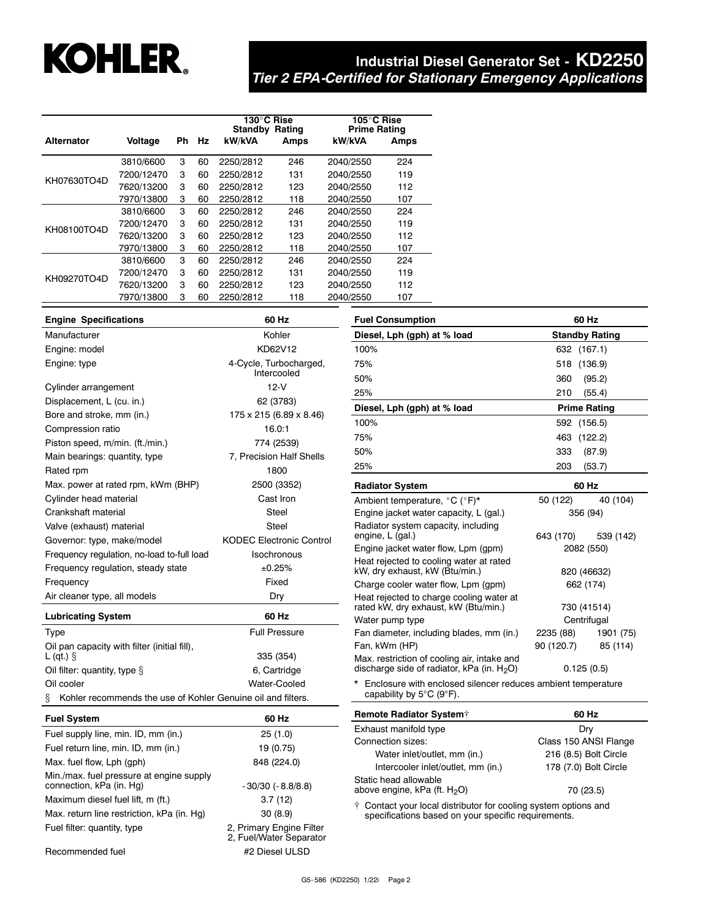# **KOHLER.**

# **Industrial Diesel Generator Set - KD2250** *Tier 2 EPA-Certified for Stationary Emergency Applications*

|                   |            |    |    | 130°C Rise<br>Standby<br>Rating |      | 105°C Rise<br><b>Prime Rating</b> |      |  |
|-------------------|------------|----|----|---------------------------------|------|-----------------------------------|------|--|
| <b>Alternator</b> | Voltage    | Ph | Hz | kW/kVA                          | Amps | kW/kVA                            | Amps |  |
|                   | 3810/6600  | 3  | 60 | 2250/2812                       | 246  | 2040/2550                         | 224  |  |
| KH07630TO4D       | 7200/12470 | 3  | 60 | 2250/2812                       | 131  | 2040/2550                         | 119  |  |
|                   | 7620/13200 | 3  | 60 | 2250/2812                       | 123  | 2040/2550                         | 112  |  |
|                   | 7970/13800 | 3  | 60 | 2250/2812                       | 118  | 2040/2550                         | 107  |  |
|                   | 3810/6600  | 3  | 60 | 2250/2812                       | 246  | 2040/2550                         | 224  |  |
| KH08100TO4D       | 7200/12470 | 3  | 60 | 2250/2812                       | 131  | 2040/2550                         | 119  |  |
|                   | 7620/13200 | 3  | 60 | 2250/2812                       | 123  | 2040/2550                         | 112  |  |
|                   | 7970/13800 | 3  | 60 | 2250/2812                       | 118  | 2040/2550                         | 107  |  |
| KH09270TO4D       | 3810/6600  | 3  | 60 | 2250/2812                       | 246  | 2040/2550                         | 224  |  |
|                   | 7200/12470 | 3  | 60 | 2250/2812                       | 131  | 2040/2550                         | 119  |  |
|                   | 7620/13200 | 3  | 60 | 2250/2812                       | 123  | 2040/2550                         | 112  |  |
|                   | 7970/13800 | 3  | 60 | 2250/2812                       | 118  | 2040/2550                         | 107  |  |

| <b>Engine Specifications</b>                                      | 60 Hz                           | <b>Fuel Consumption</b>                                                   | 60 Hz                      |  |
|-------------------------------------------------------------------|---------------------------------|---------------------------------------------------------------------------|----------------------------|--|
| Manufacturer                                                      | Kohler                          | Diesel, Lph (gph) at % load                                               | <b>Standby Rating</b>      |  |
| Engine: model                                                     | KD62V12                         | 100%                                                                      | 632 (167.1)                |  |
| Engine: type                                                      | 4-Cycle, Turbocharged,          | 75%                                                                       | 518<br>(136.9)             |  |
|                                                                   | Intercooled                     | 50%                                                                       | 360<br>(95.2)              |  |
| Cylinder arrangement                                              | $12-V$                          | 25%                                                                       | 210<br>(55.4)              |  |
| Displacement, L (cu. in.)                                         | 62 (3783)                       | Diesel, Lph (qph) at % load                                               | <b>Prime Rating</b>        |  |
| Bore and stroke, mm (in.)                                         | 175 x 215 (6.89 x 8.46)         | 100%                                                                      | 592 (156.5)                |  |
| Compression ratio                                                 | 16.0:1                          | 75%                                                                       | 463<br>(122.2)             |  |
| Piston speed, m/min. (ft./min.)                                   | 774 (2539)                      |                                                                           |                            |  |
| Main bearings: quantity, type                                     | 7, Precision Half Shells        | 50%                                                                       | 333<br>(87.9)              |  |
| Rated rpm                                                         | 1800                            | 25%                                                                       | 203<br>(53.7)              |  |
| Max. power at rated rpm, kWm (BHP)                                | 2500 (3352)                     | <b>Radiator System</b>                                                    | 60 Hz                      |  |
| Cylinder head material                                            | Cast Iron                       | Ambient temperature, °C (°F)*                                             | 50 (122)<br>40 (104)       |  |
| Crankshaft material                                               | Steel                           | Engine jacket water capacity, L (gal.)                                    | 356 (94)                   |  |
| Valve (exhaust) material                                          | Steel                           | Radiator system capacity, including                                       |                            |  |
| Governor: type, make/model                                        | <b>KODEC Electronic Control</b> | engine, L (gal.)                                                          | 643 (170)<br>539 (142)     |  |
| Frequency regulation, no-load to-full load                        | Isochronous                     | Engine jacket water flow, Lpm (gpm)                                       | 2082 (550)                 |  |
| Frequency regulation, steady state                                | ±0.25%                          | Heat rejected to cooling water at rated<br>kW, dry exhaust, kW (Btu/min.) | 820 (46632)                |  |
| Frequency<br>Fixed                                                |                                 | Charge cooler water flow, Lpm (qpm)                                       | 662 (174)                  |  |
| Air cleaner type, all models                                      | Dry                             | Heat rejected to charge cooling water at                                  |                            |  |
| <b>Lubricating System</b>                                         | 60 Hz                           | rated kW, dry exhaust, kW (Btu/min.)<br>Water pump type                   | 730 (41514)<br>Centrifugal |  |
| Type                                                              | <b>Full Pressure</b>            | Fan diameter, including blades, mm (in.)                                  | 1901 (75)<br>2235 (88)     |  |
| Oil pan capacity with filter (initial fill),                      |                                 | Fan, kWm (HP)                                                             | 90 (120.7)<br>85 (114)     |  |
| $L$ (qt.) $\S$                                                    | 335 (354)                       | Max. restriction of cooling air, intake and                               |                            |  |
| Oil filter: quantity, type §                                      | 6, Cartridge                    | discharge side of radiator, kPa (in. $H_2O$ )                             | 0.125(0.5)                 |  |
| Oil cooler                                                        | Water-Cooled                    | * Enclosure with enclosed silencer reduces ambient temperature            |                            |  |
| Kohler recommends the use of Kohler Genuine oil and filters.<br>ş |                                 | capability by $5^{\circ}$ C (9 $^{\circ}$ F).                             |                            |  |
| <b>Fuel System</b>                                                | 60 Hz                           | Remote Radiator System <sup>+</sup>                                       | 60 Hz                      |  |
| Fuel supply line, min. ID, mm (in.)                               | 25(1.0)                         | Exhaust manifold type                                                     | Dry                        |  |
|                                                                   | $1010 - 1010$                   | Connection sizes:                                                         | Class 150 ANSI Flange      |  |

| ו שטו ט פוטווו                                                       | ---                                                 |
|----------------------------------------------------------------------|-----------------------------------------------------|
| Fuel supply line, min. ID, mm (in.)                                  | 25(1.0)                                             |
| Fuel return line, min. ID, mm (in.)                                  | 19 (0.75)                                           |
| Max. fuel flow, Lph (qph)                                            | 848 (224.0)                                         |
| Min./max. fuel pressure at engine supply<br>connection, kPa (in. Hg) | $-30/30$ ( $-8.8/8.8$ )                             |
| Maximum diesel fuel lift, m (ft.)                                    | 3.7(12)                                             |
| Max. return line restriction, kPa (in. Hq)                           | 30(8.9)                                             |
| Fuel filter: quantity, type                                          | 2, Primary Engine Filter<br>2, Fuel/Water Separator |
|                                                                      |                                                     |

Water inlet/outlet, mm (in.) 216 (8.5) Bolt Circle Intercooler inlet/outlet, mm (in.) 178 (7.0) Bolt Circle Static head allowable above engine, kPa  $(\text{ft. H}_2\text{O})$  70 (23.5) Contact your local distributor for cooling system options and specifications based on your specific requirements.

Recommended fuel #2 Diesel ULSD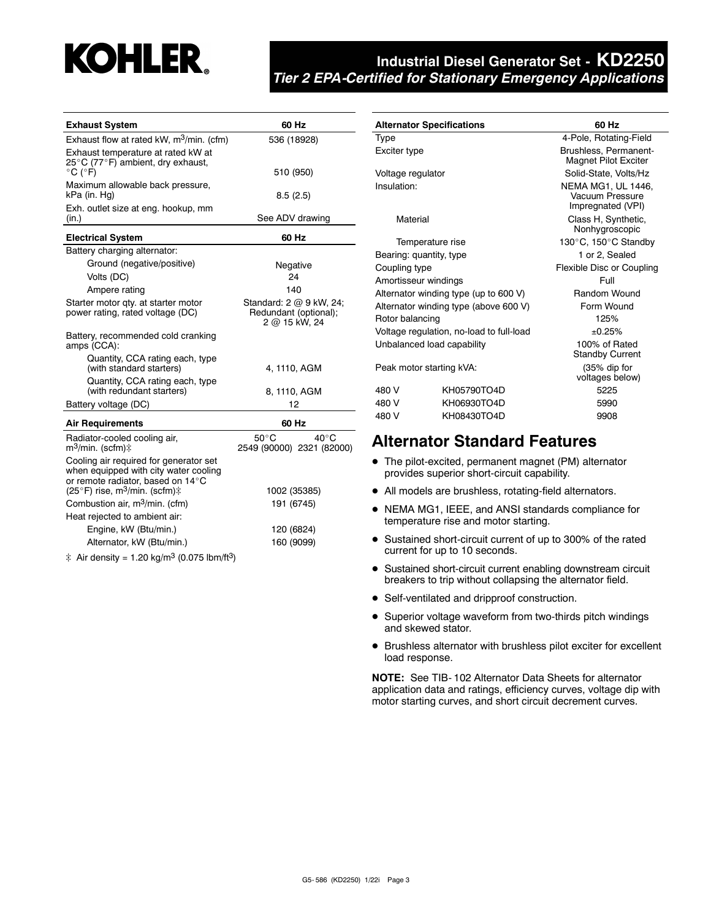

| <b>Exhaust System</b>                                                                                                | 60 Hz                                                             |  |  |
|----------------------------------------------------------------------------------------------------------------------|-------------------------------------------------------------------|--|--|
| Exhaust flow at rated kW, m <sup>3</sup> /min. (cfm)                                                                 | 536 (18928)                                                       |  |  |
| Exhaust temperature at rated kW at<br>25°C (77°F) ambient, dry exhaust,<br>$^{\circ}$ C ( $^{\circ}$ F)              | 510 (950)                                                         |  |  |
| Maximum allowable back pressure,<br>kPa (in. Hg)                                                                     | 8.5(2.5)                                                          |  |  |
| Exh. outlet size at eng. hookup, mm<br>(in.)                                                                         | See ADV drawing                                                   |  |  |
| <b>Electrical System</b>                                                                                             | 60 Hz                                                             |  |  |
| Battery charging alternator:                                                                                         |                                                                   |  |  |
| Ground (negative/positive)                                                                                           | Negative                                                          |  |  |
| Volts (DC)                                                                                                           | 24                                                                |  |  |
| Ampere rating                                                                                                        | 140                                                               |  |  |
| Starter motor qty. at starter motor<br>power rating, rated voltage (DC)                                              | Standard: 2 @ 9 kW, 24;<br>Redundant (optional);<br>2 @ 15 kW, 24 |  |  |
| Battery, recommended cold cranking<br>amps (CCA):                                                                    |                                                                   |  |  |
| Quantity, CCA rating each, type<br>(with standard starters)                                                          | 4, 1110, AGM                                                      |  |  |
| Quantity, CCA rating each, type<br>(with redundant starters)                                                         | 8, 1110, AGM                                                      |  |  |
| Battery voltage (DC)                                                                                                 | 12                                                                |  |  |
| <b>Air Requirements</b>                                                                                              | 60 Hz                                                             |  |  |
| Radiator-cooled cooling air,<br>m <sup>3</sup> /min. (scfm)‡                                                         | $50^{\circ}$ C<br>$40^{\circ}$ C<br>2549 (90000) 2321 (82000)     |  |  |
| Cooling air required for generator set<br>when equipped with city water cooling<br>or remote radiator, based on 14°C |                                                                   |  |  |
| (25°F) rise, m <sup>3</sup> /min. (scfm) $\ddagger$                                                                  | 1002 (35385)                                                      |  |  |
| Combustion air, m <sup>3</sup> /min. (cfm)                                                                           | 191 (6745)                                                        |  |  |
| Heat rejected to ambient air:                                                                                        |                                                                   |  |  |
| Engine, kW (Btu/min.)                                                                                                | 120 (6824)                                                        |  |  |
| Alternator, kW (Btu/min.)                                                                                            | 160 (9099)                                                        |  |  |
| ‡ Air density = 1.20 kg/m <sup>3</sup> (0.075 lbm/ft <sup>3</sup> )                                                  |                                                                   |  |  |

|                          | <b>Alternator Specifications</b>         | 60 Hz                                                             |  |  |
|--------------------------|------------------------------------------|-------------------------------------------------------------------|--|--|
| Type                     |                                          | 4-Pole, Rotating-Field                                            |  |  |
| Exciter type             |                                          | Brushless, Permanent-<br><b>Magnet Pilot Exciter</b>              |  |  |
| Voltage regulator        |                                          | Solid-State, Volts/Hz                                             |  |  |
| Insulation:              |                                          | <b>NEMA MG1, UL 1446.</b><br>Vacuum Pressure<br>Impregnated (VPI) |  |  |
| Material                 |                                          | Class H, Synthetic,<br>Nonhygroscopic                             |  |  |
|                          | Temperature rise                         | 130°C, 150°C Standby                                              |  |  |
| Bearing: quantity, type  |                                          | 1 or 2. Sealed                                                    |  |  |
| Coupling type            |                                          | Flexible Disc or Coupling                                         |  |  |
| Amortisseur windings     |                                          | Full                                                              |  |  |
|                          | Alternator winding type (up to 600 V)    | <b>Random Wound</b>                                               |  |  |
|                          | Alternator winding type (above 600 V)    | Form Wound                                                        |  |  |
| Rotor balancing          |                                          | 125%                                                              |  |  |
|                          | Voltage regulation, no-load to full-load | $+0.25%$                                                          |  |  |
|                          | Unbalanced load capability               | 100% of Rated<br><b>Standby Current</b>                           |  |  |
| Peak motor starting kVA: |                                          | (35% dip for<br>voltages below)                                   |  |  |
| 480 V                    | KH05790TO4D                              | 5225                                                              |  |  |
| 480 V                    | KH06930TO4D                              | 5990                                                              |  |  |
| 480 V                    | KH08430TO4D                              | 9908                                                              |  |  |

# **Alternator Standard Features**

- The pilot-excited, permanent magnet (PM) alternator provides superior short-circuit capability.
- All models are brushless, rotating-field alternators.
- NEMA MG1, IEEE, and ANSI standards compliance for temperature rise and motor starting.
- Sustained short-circuit current of up to 300% of the rated current for up to 10 seconds.
- **•** Sustained short-circuit current enabling downstream circuit breakers to trip without collapsing the alternator field.
- Self-ventilated and dripproof construction.
- Superior voltage waveform from two-thirds pitch windings and skewed stator.
- Brushless alternator with brushless pilot exciter for excellent load response.

**NOTE:** See TIB- 102 Alternator Data Sheets for alternator application data and ratings, efficiency curves, voltage dip with motor starting curves, and short circuit decrement curves.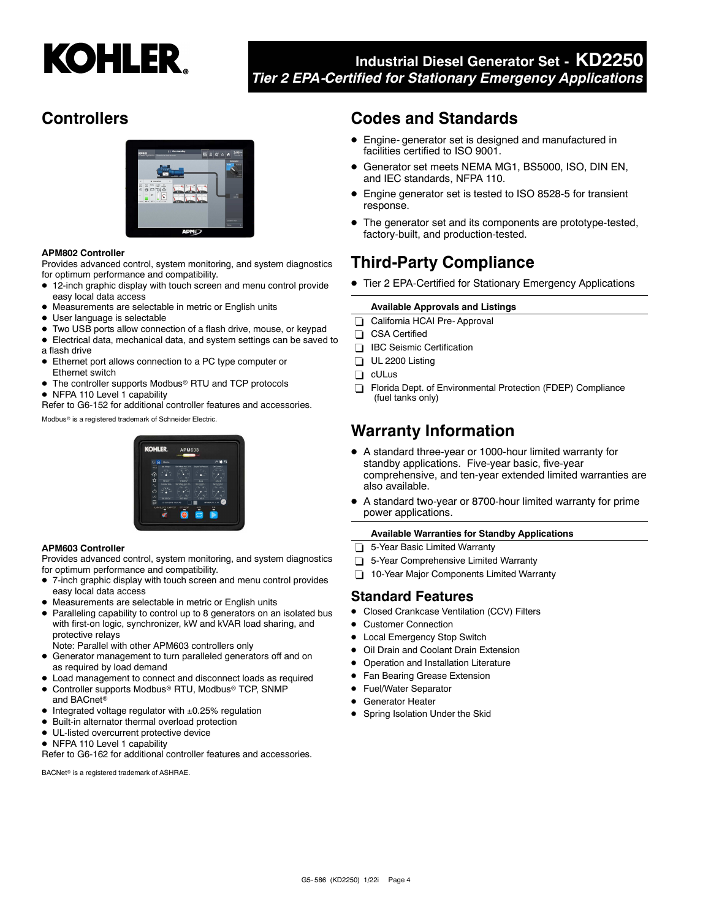

# **Controllers**



#### **APM802 Controller**

Provides advanced control, system monitoring, and system diagnostics for optimum performance and compatibility.

- 12-inch graphic display with touch screen and menu control provide easy local data access
- Measurements are selectable in metric or English units
- $\bullet$ User language is selectable
- Two USB ports allow connection of a flash drive, mouse, or keypad
- Electrical data, mechanical data, and system settings can be saved to a flash drive
- Ethernet port allows connection to a PC type computer or Ethernet switch
- The controller supports Modbus® RTU and TCP protocols
- NFPA 110 Level 1 capability

Refer to G6-152 for additional controller features and accessories.

Modbus<sup>®</sup> is a registered trademark of Schneider Electric.

# **KOHI ED**

#### **APM603 Controller**

Provides advanced control, system monitoring, and system diagnostics for optimum performance and compatibility.

- 7-inch graphic display with touch screen and menu control provides easy local data access
- Measurements are selectable in metric or English units
- Paralleling capability to control up to 8 generators on an isolated bus with first-on logic, synchronizer, kW and kVAR load sharing, and protective relays
- Note: Parallel with other APM603 controllers only
- Generator management to turn paralleled generators off and on as required by load demand
- Load management to connect and disconnect loads as required
- $\bullet$ Controller supports Modbus<sup>®</sup> RTU, Modbus<sup>®</sup> TCP, SNMP and BACnet
- Integrated voltage regulator with ±0.25% regulation
- $\bullet$ Built-in alternator thermal overload protection
- $\bullet$  UL-listed overcurrent protective device
- NFPA 110 Level 1 capability

Refer to G6-162 for additional controller features and accessories.

BACNet<sup>®</sup> is a registered trademark of ASHRAE.

# **Codes and Standards**

- Engine- generator set is designed and manufactured in facilities certified to ISO 9001.
- $\bullet$  Generator set meets NEMA MG1, BS5000, ISO, DIN EN, and IEC standards, NFPA 110.
- Engine generator set is tested to ISO 8528-5 for transient response.
- The generator set and its components are prototype-tested, factory-built, and production-tested.

# **Third-Party Compliance**

● Tier 2 EPA-Certified for Stationary Emergency Applications

#### **Available Approvals and Listings**

- California HCAI Pre- Approval
- CSA Certified
- **IBC** Seismic Certification
- UL 2200 Listing
- cULus
- Florida Dept. of Environmental Protection (FDEP) Compliance (fuel tanks only)

# **Warranty Information**

- A standard three-year or 1000-hour limited warranty for standby applications. Five-year basic, five-year comprehensive, and ten-year extended limited warranties are also available.
- $\bullet$  A standard two-year or 8700-hour limited warranty for prime power applications.

#### **Available Warranties for Standby Applications**

- 5-Year Basic Limited Warranty
- 5-Year Comprehensive Limited Warranty
- 10-Year Major Components Limited Warranty

#### **Standard Features**

- **•** Closed Crankcase Ventilation (CCV) Filters
- $\bullet$ Customer Connection
- $\bullet$ Local Emergency Stop Switch
- $\bullet$ Oil Drain and Coolant Drain Extension
- $\bullet$ Operation and Installation Literature
- $\bullet$ Fan Bearing Grease Extension
- Fuel/Water Separator
- **•** Generator Heater
- **•** Spring Isolation Under the Skid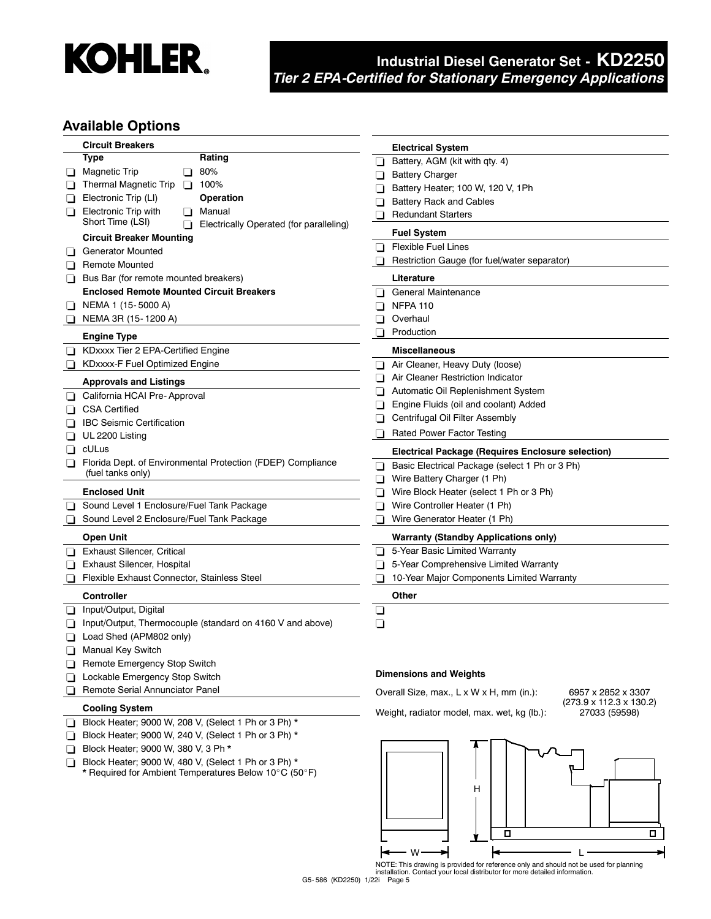

### **Available Options**

|                | <b>Circuit Breakers</b>                                                          | <b>Electrical System</b>                                                                            |
|----------------|----------------------------------------------------------------------------------|-----------------------------------------------------------------------------------------------------|
|                | Type<br>Rating                                                                   | Battery, AGM (kit with qty. 4)<br>⊔                                                                 |
| ப              | 80%<br><b>Magnetic Trip</b><br>Π                                                 | <b>Battery Charger</b><br>⊔                                                                         |
|                | Thermal Magnetic Trip<br>100%<br>$\Box$                                          | Battery Heater; 100 W, 120 V, 1Ph<br>ப                                                              |
|                | Electronic Trip (LI)<br>Operation                                                | <b>Battery Rack and Cables</b><br>❏                                                                 |
| ப              | <b>Electronic Trip with</b><br>Manual                                            | <b>Redundant Starters</b>                                                                           |
|                | Short Time (LSI)<br>Electrically Operated (for paralleling)                      | $\Box$                                                                                              |
|                | <b>Circuit Breaker Mounting</b>                                                  | <b>Fuel System</b>                                                                                  |
|                | <b>Generator Mounted</b>                                                         | <b>Flexible Fuel Lines</b><br>ப                                                                     |
| $\blacksquare$ | <b>Remote Mounted</b>                                                            | Restriction Gauge (for fuel/water separator)                                                        |
| ப              | Bus Bar (for remote mounted breakers)                                            | Literature                                                                                          |
|                | <b>Enclosed Remote Mounted Circuit Breakers</b>                                  | General Maintenance<br>$\blacksquare$                                                               |
| ப              | NEMA 1 (15-5000 A)                                                               | <b>NFPA 110</b><br>ப                                                                                |
|                | NEMA 3R (15-1200 A)                                                              | Overhaul                                                                                            |
|                | <b>Engine Type</b>                                                               | Production<br>⊔                                                                                     |
|                | KDxxxx Tier 2 EPA-Certified Engine                                               | <b>Miscellaneous</b>                                                                                |
|                | KDxxxx-F Fuel Optimized Engine                                                   | Air Cleaner, Heavy Duty (loose)<br>⊔                                                                |
|                | <b>Approvals and Listings</b>                                                    | Air Cleaner Restriction Indicator                                                                   |
|                | California HCAI Pre-Approval                                                     | Automatic Oil Replenishment System                                                                  |
|                | <b>CSA Certified</b>                                                             | Engine Fluids (oil and coolant) Added<br>Π                                                          |
|                |                                                                                  | Centrifugal Oil Filter Assembly                                                                     |
|                | <b>IBC Seismic Certification</b>                                                 | <b>Rated Power Factor Testing</b>                                                                   |
| ப              | UL 2200 Listing                                                                  |                                                                                                     |
| H              | cULus                                                                            | <b>Electrical Package (Requires Enclosure selection)</b>                                            |
| $\perp$        | Florida Dept. of Environmental Protection (FDEP) Compliance<br>(fuel tanks only) | Basic Electrical Package (select 1 Ph or 3 Ph)<br>$\blacksquare$                                    |
|                |                                                                                  | Wire Battery Charger (1 Ph)<br>ப                                                                    |
|                | <b>Enclosed Unit</b>                                                             | Wire Block Heater (select 1 Ph or 3 Ph)<br>ப                                                        |
|                | Sound Level 1 Enclosure/Fuel Tank Package                                        | Wire Controller Heater (1 Ph)<br>⊔                                                                  |
|                | Sound Level 2 Enclosure/Fuel Tank Package                                        | Wire Generator Heater (1 Ph)<br>ப                                                                   |
|                | <b>Open Unit</b>                                                                 | <b>Warranty (Standby Applications only)</b>                                                         |
| l I            | <b>Exhaust Silencer, Critical</b>                                                | 5-Year Basic Limited Warranty                                                                       |
| ப              | Exhaust Silencer, Hospital                                                       | 5-Year Comprehensive Limited Warranty<br>ப                                                          |
|                | Flexible Exhaust Connector, Stainless Steel                                      | 10-Year Major Components Limited Warranty<br>П                                                      |
|                | <b>Controller</b>                                                                | Other                                                                                               |
| ப              | Input/Output, Digital                                                            | ❏                                                                                                   |
|                | Input/Output, Thermocouple (standard on 4160 V and above)                        | ❏                                                                                                   |
|                | Load Shed (APM802 only)                                                          |                                                                                                     |
| ΠI             | <b>Manual Key Switch</b>                                                         |                                                                                                     |
|                | Remote Emergency Stop Switch                                                     |                                                                                                     |
|                | Lockable Emergency Stop Switch                                                   | <b>Dimensions and Weights</b>                                                                       |
|                | Remote Serial Annunciator Panel                                                  | Overall Size, max., L x W x H, mm (in.):<br>6957 x 2852 x 3307                                      |
|                | <b>Cooling System</b>                                                            | $(273.9 \times 112.3 \times 130.2)$<br>Weight, radiator model, max. wet, kg (lb.):<br>27033 (59598) |
| ப              | Block Heater; 9000 W, 208 V, (Select 1 Ph or 3 Ph) *                             |                                                                                                     |
|                | Block Heater; 9000 W, 240 V, (Select 1 Ph or 3 Ph) *                             |                                                                                                     |
| $\mathbf{L}$   | Block Heater; 9000 W, 380 V, 3 Ph *                                              |                                                                                                     |
| ப              | Block Heater; 9000 W, 480 V, (Select 1 Ph or 3 Ph) *                             |                                                                                                     |
|                | * Required for Ambient Temperatures Below 10°C (50°F)                            |                                                                                                     |
|                |                                                                                  | Н                                                                                                   |
|                |                                                                                  |                                                                                                     |



NOTE: This drawing is provided for reference only and should not be used for planning installation. Contact your local distributor for more detailed information.